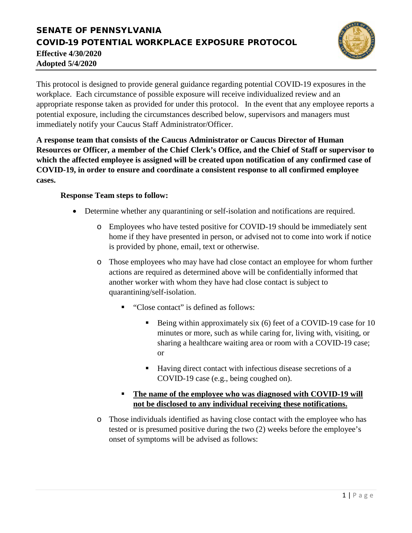## SENATE OF PENNSYLVANIA COVID-19 POTENTIAL WORKPLACE EXPOSURE PROTOCOL **Effective 4/30/2020 Adopted 5/4/2020**



This protocol is designed to provide general guidance regarding potential COVID-19 exposures in the workplace. Each circumstance of possible exposure will receive individualized review and an appropriate response taken as provided for under this protocol. In the event that any employee reports a potential exposure, including the circumstances described below, supervisors and managers must immediately notify your Caucus Staff Administrator/Officer.

**A response team that consists of the Caucus Administrator or Caucus Director of Human Resources or Officer, a member of the Chief Clerk's Office, and the Chief of Staff or supervisor to which the affected employee is assigned will be created upon notification of any confirmed case of COVID-19, in order to ensure and coordinate a consistent response to all confirmed employee cases.**

## **Response Team steps to follow:**

- Determine whether any quarantining or self-isolation and notifications are required.
	- o Employees who have tested positive for COVID-19 should be immediately sent home if they have presented in person, or advised not to come into work if notice is provided by phone, email, text or otherwise.
	- o Those employees who may have had close contact an employee for whom further actions are required as determined above will be confidentially informed that another worker with whom they have had close contact is subject to quarantining/self-isolation.
		- "Close contact" is defined as follows:
			- Being within approximately six (6) feet of a COVID-19 case for 10 minutes or more, such as while caring for, living with, visiting, or sharing a healthcare waiting area or room with a COVID-19 case; or
			- Having direct contact with infectious disease secretions of a COVID-19 case (e.g., being coughed on).
		- **The name of the employee who was diagnosed with COVID-19 will not be disclosed to any individual receiving these notifications.**
	- o Those individuals identified as having close contact with the employee who has tested or is presumed positive during the two (2) weeks before the employee's onset of symptoms will be advised as follows: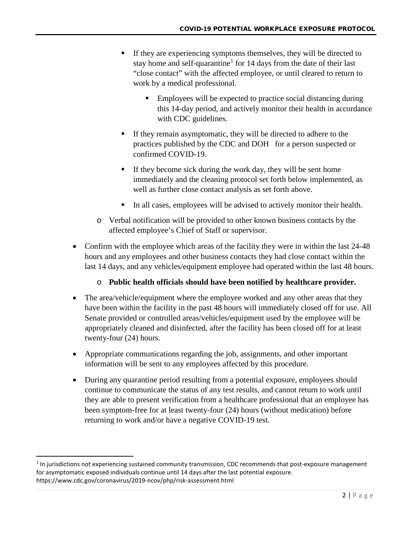- If they are experiencing symptoms themselves, they will be directed to stay home and self-quarantine<sup>[1](#page-1-0)</sup> for 14 days from the date of their last "close contact" with the affected employee, or until cleared to return to work by a medical professional.
	- Employees will be expected to practice social distancing during this 14-day period, and actively monitor their health in accordance with CDC guidelines.
- If they remain asymptomatic, they will be directed to adhere to the practices published by the CDC and DOH for a person suspected or confirmed COVID-19.
- If they become sick during the work day, they will be sent home immediately and the cleaning protocol set forth below implemented, as well as further close contact analysis as set forth above.
- In all cases, employees will be advised to actively monitor their health.
- o Verbal notification will be provided to other known business contacts by the affected employee's Chief of Staff or supervisor.
- Confirm with the employee which areas of the facility they were in within the last 24-48 hours and any employees and other business contacts they had close contact within the last 14 days, and any vehicles/equipment employee had operated within the last 48 hours.

## o **Public health officials should have been notified by healthcare provider.**

- The area/vehicle/equipment where the employee worked and any other areas that they have been within the facility in the past 48 hours will immediately closed off for use. All Senate provided or controlled areas/vehicles/equipment used by the employee will be appropriately cleaned and disinfected, after the facility has been closed off for at least twenty-four (24) hours.
- Appropriate communications regarding the job, assignments, and other important information will be sent to any employees affected by this procedure.
- During any quarantine period resulting from a potential exposure, employees should continue to communicate the status of any test results, and cannot return to work until they are able to present verification from a healthcare professional that an employee has been symptom-free for at least twenty-four (24) hours (without medication) before returning to work and/or have a negative COVID-19 test.

<span id="page-1-0"></span><sup>&</sup>lt;sup>1</sup> In jurisdictions not experiencing sustained community transmission, CDC recommends that post-exposure management for asymptomatic exposed individuals continue until 14 days after the last potential exposure. https://www.cdc.gov/coronavirus/2019-ncov/php/risk-assessment.html